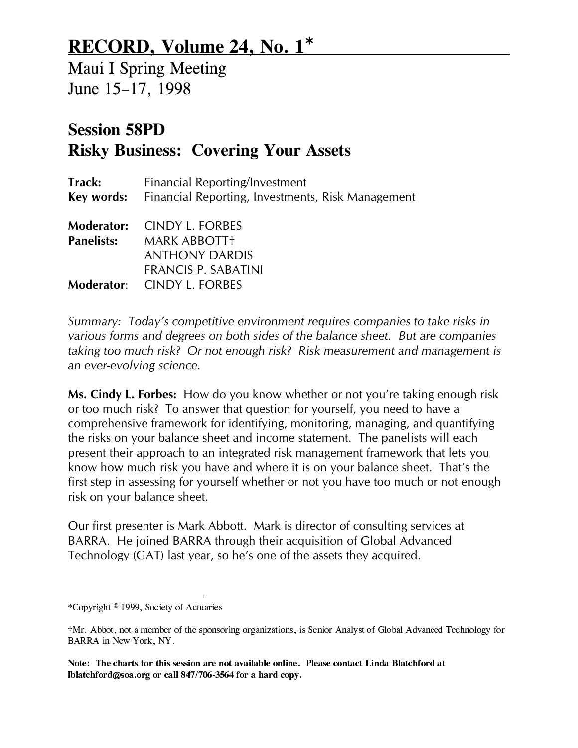## RECORD, Volume 24, No. 1<sup>∗</sup>

Maui I Spring Meeting June 15-17, 1998

## Session 58PD Risky Business: Covering Your Assets

| Financial Reporting/Investment<br>Key words: Financial Reporting, Investments, Risk Management |  |  |  |  |
|------------------------------------------------------------------------------------------------|--|--|--|--|
|                                                                                                |  |  |  |  |
|                                                                                                |  |  |  |  |
|                                                                                                |  |  |  |  |

Summary: Today's competitive environment requires companies to take risks in various forms and degrees on both sides of the balance sheet. But are companies taking too much risk? Or not enough risk? Risk measurement and management is an ever-evolving science.

Ms. Cindy L. Forbes: How do you know whether or not you're taking enough risk or too much risk? To answer that question for yourself, you need to have a comprehensive framework for identifying, monitoring, managing, and quantifying the risks on your balance sheet and income statement. The panelists will each present their approach to an integrated risk management framework that lets you know how much risk you have and where it is on your balance sheet. That's the first step in assessing for yourself whether or not you have too much or not enough risk on your balance sheet.

Our first presenter is Mark Abbott. Mark is director of consulting services at BARRA. He joined BARRA through their acquisition of Global Advanced Technology (GAT) last year, so he's one of the assets they acquired.

 $\overline{a}$ 

<sup>\*</sup>Copyright © 1999, Society of Actuaries

tMr. Abbot, not a member of the sponsoring organizations, is Senior Analyst of Global Advanced Technology for BARRA in New York, NY.

Note: The charts for this session are not available online. Please contact Linda Blatchford at lblatchford@soa.org or call 847/706-3564 for a hard copy.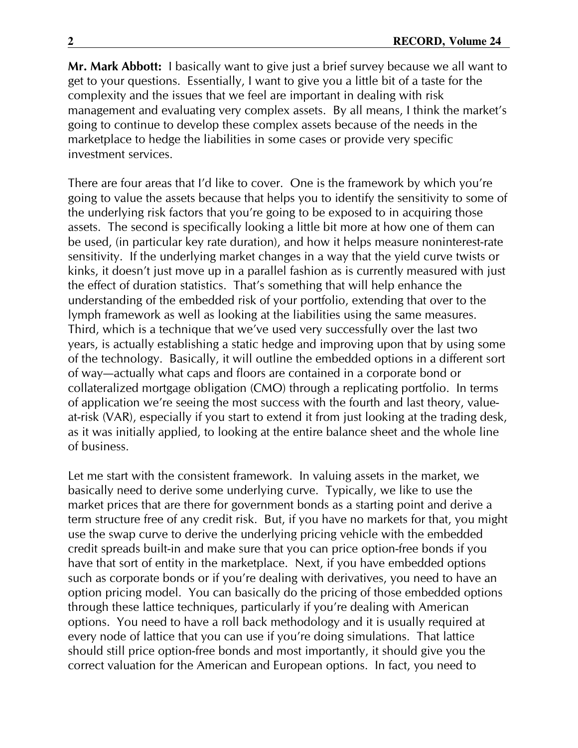Mr. Mark Abbott: I basically want to give just a brief survey because we all want to get to your questions. Essentially, I want to give you a little bit of a taste for the complexity and the issues that we feel are important in dealing with risk management and evaluating very complex assets. By all means, I think the market's going to continue to develop these complex assets because of the needs in the marketplace to hedge the liabilities in some cases or provide very specific investment services.

There are four areas that I'd like to cover. One is the framework by which you're going to value the assets because that helps you to identify the sensitivity to some of the underlying risk factors that you're going to be exposed to in acquiring those assets. The second is specifically looking a little bit more at how one of them can be used, (in particular key rate duration), and how it helps measure noninterest-rate sensitivity. If the underlying market changes in a way that the yield curve twists or kinks, it doesn't just move up in a parallel fashion as is currently measured with just the effect of duration statistics. That's something that will help enhance the understanding of the embedded risk of your portfolio, extending that over to the lymph framework as well as looking at the liabilities using the same measures. Third, which is a technique that we've used very successfully over the last two years, is actually establishing a static hedge and improving upon that by using some of the technology. Basically, it will outline the embedded options in a different sort of way-actually what caps and floors are contained in a corporate bond or collateralized mortgage obligation (CMO) through a replicating portfolio. In terms of application we're seeing the most success with the fourth and last theory, valueat-risk (VAR), especially if you start to extend it from just looking at the trading desk, as it was initially applied, to looking at the entire balance sheet and the whole line of business.

Let me start with the consistent framework. In valuing assets in the market, we basically need to derive some underlying curve. Typically, we like to use the market prices that are there for government bonds as a starting point and derive a term structure free of any credit risk. But, if you have no markets for that, you might use the swap curve to derive the underlying pricing vehicle with the embedded credit spreads built-in and make sure that you can price option-free bonds if you have that sort of entity in the marketplace. Next, if you have embedded options such as corporate bonds or if you're dealing with derivatives, you need to have an option pricing model. You can basically do the pricing of those embedded options through these lattice techniques, particularly if you're dealing with American options. You need to have a roll back methodology and it is usually required at every node of lattice that you can use if you're doing simulations. That lattice should still price option-free bonds and most importantly, it should give you the correct valuation for the American and European options. In fact, you need to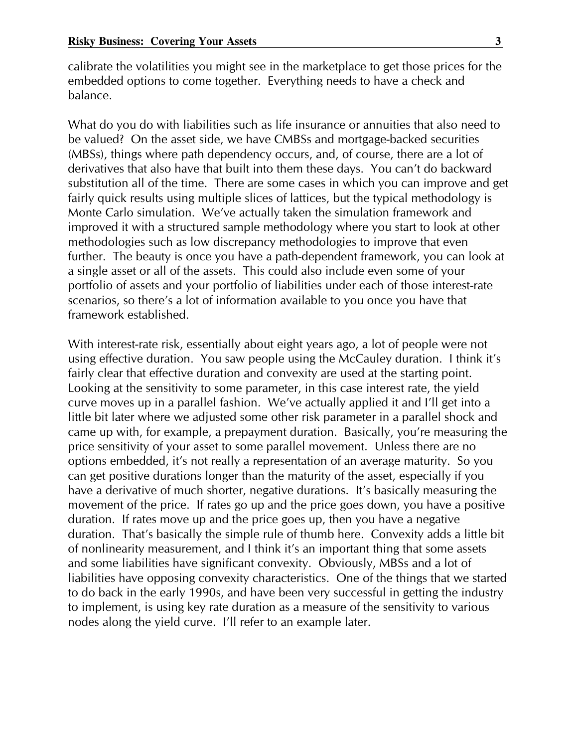calibrate the volatilities you might see in the marketplace to get those prices for the embedded options to come together. Everything needs to have a check and balance.

What do you do with liabilities such as life insurance or annuities that also need to be valued? On the asset side, we have CMB5s and mortgage-backed securities (MB5s), things where path dependency occurs, and, of course, there are a lot of derivatives that also have that built into them these days. You can't do backward substitution all of the time. There are some cases in which you can improve and get fairly quick results using multiple slices of lattices, but the typical methodology is Monte Carlo simulation. We've actually taken the simulation framework and improved it with a structured sample methodology where you start to look at other methodologies such as low discrepancy methodologies to improve that even further. The beauty is once you have a path-dependent framework, you can look at a single asset or all of the assets. This could also include even some of your portfolio of assets and your portfolio of liabilities under each of those interest-rate scenarios, so there's a lot of information available to you once you have that framework established.

With interest-rate risk, essentially about eight years ago, a lot of people were not using effective duration. You saw people using the McCauley duration. I think it's fairly clear that effective duration and convexity are used at the starting point. Looking at the sensitivity to some parameter, in this case interest rate, the yield curve moves up in a parallel fashion. We've actually applied it and I'll get into a little bit later where we adjusted some other risk parameter in a parallel shock and came up with, for example, a prepayment duration. Basically, you're measuring the price sensitivity of your asset to some parallel movement. Unless there are no options embedded, it's not really a representation of an average maturity. 5o you can get positive durations longer than the maturity of the asset, especially if you have a derivative of much shorter, negative durations. It's basically measuring the movement of the price. If rates go up and the price goes down, you have a positive duration. If rates move up and the price goes up, then you have a negative duration. That's basically the simple rule of thumb here. Convexity adds a little bit of nonlinearity measurement, and I think it's an important thing that some assets and some liabilities have significant convexity. Obviously, MB5s and a lot of liabilities have opposing convexity characteristics. One of the things that we started to do back in the early 1990s, and have been very successful in getting the industry to implement, is using key rate duration as a measure of the sensitivity to various nodes along the yield curve. I'll refer to an example later.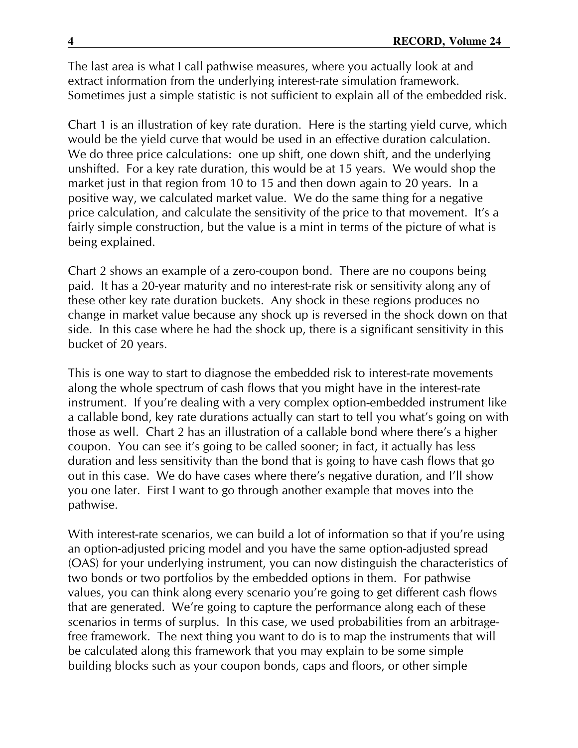The last area is what I call pathwise measures, where you actually look at and extract information from the underlying interest-rate simulation framework. 5ometimes just a simple statistic is not sufficient to explain all of the embedded risk.

Chart 1 is an illustration of key rate duration. Here is the starting yield curve, which would be the yield curve that would be used in an effective duration calculation. We do three price calculations: one up shift, one down shift, and the underlying unshifted. For a key rate duration, this would be at 15 years. We would shop the market just in that region from 10 to 15 and then down again to 20 years. In a positive way, we calculated market value. We do the same thing for a negative price calculation, and calculate the sensitivity of the price to that movement. It's a fairly simple construction, but the value is a mint in terms of the picture of what is being explained.

Chart 2 shows an example of a zero-coupon bond. There are no coupons being paid. It has a 20-year maturity and no interest-rate risk or sensitivity along any of these other key rate duration buckets. Any shock in these regions produces no change in market value because any shock up is reversed in the shock down on that side. In this case where he had the shock up, there is a significant sensitivity in this bucket of 20 years.

This is one way to start to diagnose the embedded risk to interest-rate movements along the whole spectrum of cash flows that you might have in the interest-rate instrument. If you're dealing with a very complex option-embedded instrument like a callable bond, key rate durations actually can start to tell you what's going on with those as well. Chart 2 has an illustration of a callable bond where there's a higher coupon. You can see it's going to be called sooner; in fact, it actually has less duration and less sensitivity than the bond that is going to have cash flows that go out in this case. We do have cases where there's negative duration, and I'll show you one later. First I want to go through another example that moves into the pathwise.

With interest-rate scenarios, we can build a lot of information so that if you're using an option-adjusted pricing model and you have the same option-adjusted spread (OA5) for your underlying instrument, you can now distinguish the characteristics of two bonds or two portfolios by the embedded options in them. For pathwise values, you can think along every scenario you're going to get different cash flows that are generated. We're going to capture the performance along each of these scenarios in terms of surplus. In this case, we used probabilities from an arbitragefree framework. The next thing you want to do is to map the instruments that will be calculated along this framework that you may explain to be some simple building blocks such as your coupon bonds, caps and floors, or other simple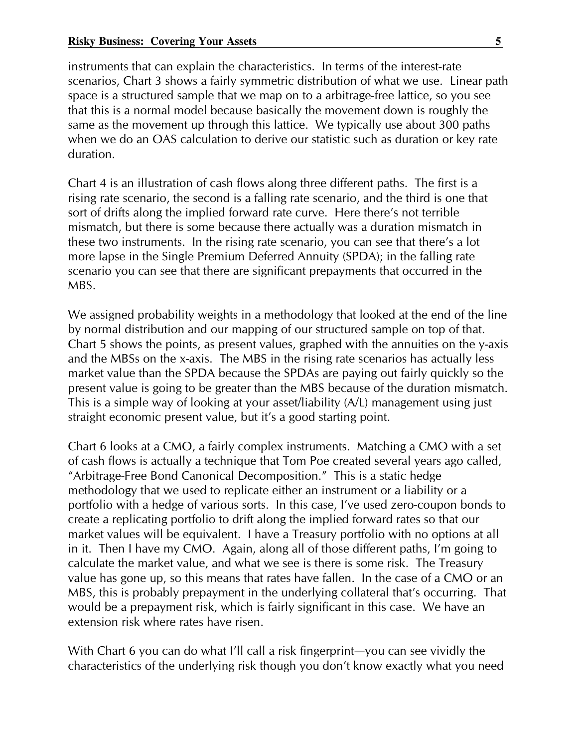instruments that can explain the characteristics. In terms of the interest-rate scenarios, Chart 3 shows a fairly symmetric distribution of what we use. Linear path space is a structured sample that we map on to a arbitrage-free lattice, so you see that this is a normal model because basically the movement down is roughly the same as the movement up through this lattice. We typically use about 300 paths when we do an OA5 calculation to derive our statistic such as duration or key rate duration.

Chart 4 is an illustration of cash flows along three different paths. The first is a rising rate scenario, the second is a falling rate scenario, and the third is one that sort of drifts along the implied forward rate curve. Here there's not terrible mismatch, but there is some because there actually was a duration mismatch in these two instruments. In the rising rate scenario, you can see that there's a lot more lapse in the 5ingle Premium Deferred Annuity (5PDA); in the falling rate scenario you can see that there are significant prepayments that occurred in the MB5.

We assigned probability weights in a methodology that looked at the end of the line by normal distribution and our mapping of our structured sample on top of that. Chart 5 shows the points, as present values, graphed with the annuities on the y-axis and the MB5s on the x-axis. The MB5 in the rising rate scenarios has actually less market value than the 5PDA because the 5PDAs are paying out fairly quickly so the present value is going to be greater than the MB5 because of the duration mismatch. This is a simple way of looking at your asset/liability (A/L) management using just straight economic present value, but it's a good starting point.

Chart 6 looks at a CMO, a fairly complex instruments. Matching a CMO with a set of cash flows is actually a technique that Tom Poe created several years ago called, "Arbitrage-Free Bond Canonical Decomposition." This is a static hedge methodology that we used to replicate either an instrument or a liability or a portfolio with a hedge of various sorts. In this case, I've used zero-coupon bonds to create a replicating portfolio to drift along the implied forward rates so that our market values will be equivalent. I have a Treasury portfolio with no options at all in it. Then I have my CMO. Again, along all of those different paths, I'm going to calculate the market value, and what we see is there is some risk. The Treasury value has gone up, so this means that rates have fallen. In the case of a CMO or an MB5, this is probably prepayment in the underlying collateral that's occurring. That would be a prepayment risk, which is fairly significant in this case. We have an extension risk where rates have risen.

With Chart 6 you can do what I'll call a risk fingerprint—you can see vividly the characteristics of the underlying risk though you don't know exactly what you need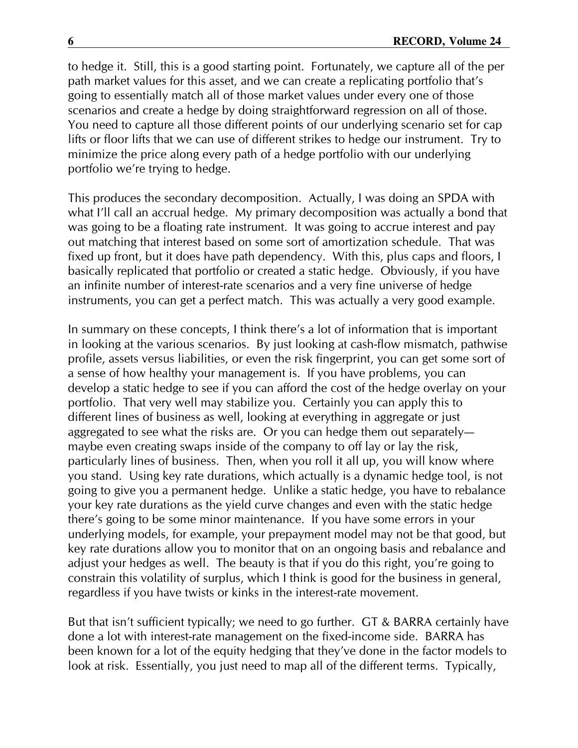to hedge it. 5till, this is a good starting point. Fortunately, we capture all of the per path market values for this asset, and we can create a replicating portfolio that's going to essentially match all of those market values under every one of those scenarios and create a hedge by doing straightforward regression on all of those. You need to capture all those different points of our underlying scenario set for cap lifts or floor lifts that we can use of different strikes to hedge our instrument. Try to minimize the price along every path of a hedge portfolio with our underlying portfolio we're trying to hedge.

This produces the secondary decomposition. Actually, I was doing an 5PDA with what I'll call an accrual hedge. My primary decomposition was actually a bond that was going to be a floating rate instrument. It was going to accrue interest and pay out matching that interest based on some sort of amortization schedule. That was fixed up front, but it does have path dependency. With this, plus caps and floors, I basically replicated that portfolio or created a static hedge. Obviously, if you have an infinite number of interest-rate scenarios and a very fine universe of hedge instruments, you can get a perfect match. This was actually a very good example.

In summary on these concepts, I think there's a lot of information that is important in looking at the various scenarios. By just looking at cash-flow mismatch, pathwise profile, assets versus liabilities, or even the risk fingerprint, you can get some sort of a sense of how healthy your management is. If you have problems, you can develop a static hedge to see if you can afford the cost of the hedge overlay on your portfolio. That very well may stabilize you. Certainly you can apply this to different lines of business as well, looking at everything in aggregate or just aggregated to see what the risks are. Or you can hedge them out separatelymaybe even creating swaps inside of the company to off lay or lay the risk, particularly lines of business. Then, when you roll it all up, you will know where you stand. Using key rate durations, which actually is a dynamic hedge tool, is not going to give you a permanent hedge. Unlike a static hedge, you have to rebalance your key rate durations as the yield curve changes and even with the static hedge there's going to be some minor maintenance. If you have some errors in your underlying models, for example, your prepayment model may not be that good, but key rate durations allow you to monitor that on an ongoing basis and rebalance and adjust your hedges as well. The beauty is that if you do this right, you're going to constrain this volatility of surplus, which I think is good for the business in general, regardless if you have twists or kinks in the interest-rate movement.

But that isn't sufficient typically; we need to go further. GT & BARRA certainly have done a lot with interest-rate management on the fixed-income side. BARRA has been known for a lot of the equity hedging that they've done in the factor models to look at risk. Essentially, you just need to map all of the different terms. Typically,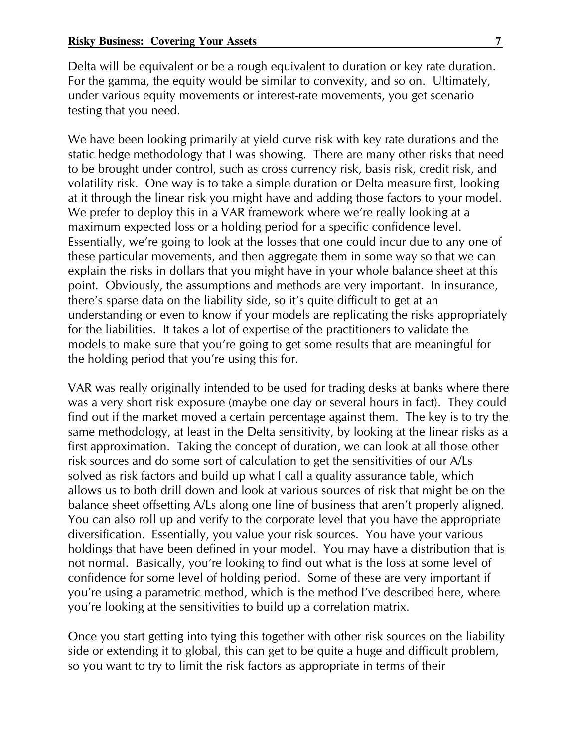Delta will be equivalent or be a rough equivalent to duration or key rate duration. For the gamma, the equity would be similar to convexity, and so on. Ultimately, under various equity movements or interest-rate movements, you get scenario testing that you need.

We have been looking primarily at yield curve risk with key rate durations and the static hedge methodology that I was showing. There are many other risks that need to be brought under control, such as cross currency risk, basis risk, credit risk, and volatility risk. One way is to take a simple duration or Delta measure first, looking at it through the linear risk you might have and adding those factors to your model. We prefer to deploy this in a VAR framework where we're really looking at a maximum expected loss or a holding period for a specific confidence level. Essentially, we're going to look at the losses that one could incur due to any one of these particular movements, and then aggregate them in some way so that we can explain the risks in dollars that you might have in your whole balance sheet at this point. Obviously, the assumptions and methods are very important. In insurance, there's sparse data on the liability side, so it's quite difficult to get at an understanding or even to know if your models are replicating the risks appropriately for the liabilities. It takes a lot of expertise of the practitioners to validate the models to make sure that you're going to get some results that are meaningful for the holding period that you're using this for.

VAR was really originally intended to be used for trading desks at banks where there was a very short risk exposure (maybe one day or several hours in fact). They could find out if the market moved a certain percentage against them. The key is to try the same methodology, at least in the Delta sensitivity, by looking at the linear risks as a first approximation. Taking the concept of duration, we can look at all those other risk sources and do some sort of calculation to get the sensitivities of our A/Ls solved as risk factors and build up what I call a quality assurance table, which allows us to both drill down and look at various sources of risk that might be on the balance sheet offsetting A/Ls along one line of business that aren't properly aligned. You can also roll up and verify to the corporate level that you have the appropriate diversification. Essentially, you value your risk sources. You have your various holdings that have been defined in your model. You may have a distribution that is not normal. Basically, you're looking to find out what is the loss at some level of confidence for some level of holding period. 5ome of these are very important if you're using a parametric method, which is the method I've described here, where you're looking at the sensitivities to build up a correlation matrix.

Once you start getting into tying this together with other risk sources on the liability side or extending it to global, this can get to be quite a huge and difficult problem, so you want to try to limit the risk factors as appropriate in terms of their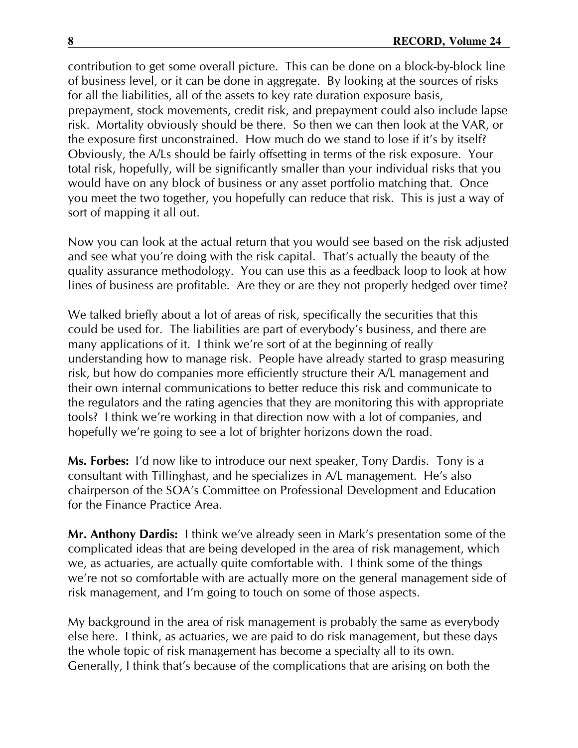contribution to get some overall picture. This can be done on a block-by-block line of business level, or it can be done in aggregate. By looking at the sources of risks for all the liabilities, all of the assets to key rate duration exposure basis, prepayment, stock movements, credit risk, and prepayment could also include lapse risk. Mortality obviously should be there. 5o then we can then look at the VAR, or the exposure first unconstrained. How much do we stand to lose if it's by itself? Obviously, the A/Ls should be fairly offsetting in terms of the risk exposure. Your total risk, hopefully, will be significantly smaller than your individual risks that you would have on any block of business or any asset portfolio matching that. Once you meet the two together, you hopefully can reduce that risk. This is just a way of sort of mapping it all out.

Now you can look at the actual return that you would see based on the risk adjusted and see what you're doing with the risk capital. That's actually the beauty of the quality assurance methodology. You can use this as a feedback loop to look at how lines of business are profitable. Are they or are they not properly hedged over time?

We talked briefly about a lot of areas of risk, specifically the securities that this could be used for. The liabilities are part of everybody's business, and there are many applications of it. I think we're sort of at the beginning of really understanding how to manage risk. People have already started to grasp measuring risk, but how do companies more efficiently structure their A/L management and their own internal communications to better reduce this risk and communicate to the regulators and the rating agencies that they are monitoring this with appropriate tools? I think we're working in that direction now with a lot of companies, and hopefully we're going to see a lot of brighter horizons down the road.

Ms. Forbes: I'd now like to introduce our next speaker, Tony Dardis. Tony is a consultant with Tillinghast, and he specializes in A/L management. He's also chairperson of the 5OA's Committee on Professional Development and Education for the Finance Practice Area.

Mr. Anthony Dardis: I think we've already seen in Mark's presentation some of the complicated ideas that are being developed in the area of risk management, which we, as actuaries, are actually quite comfortable with. I think some of the things we're not so comfortable with are actually more on the general management side of risk management, and I'm going to touch on some of those aspects.

My background in the area of risk management is probably the same as everybody else here. I think, as actuaries, we are paid to do risk management, but these days the whole topic of risk management has become a specialty all to its own. Generally, I think that's because of the complications that are arising on both the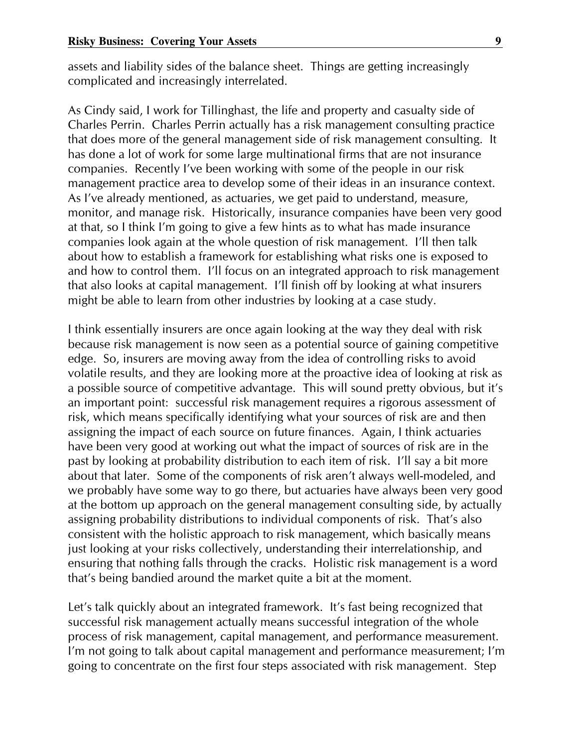assets and liability sides of the balance sheet. Things are getting increasingly complicated and increasingly interrelated.

As Cindy said, I work for Tillinghast, the life and property and casualty side of Charles Perrin. Charles Perrin actually has a risk management consulting practice that does more of the general management side of risk management consulting. It has done a lot of work for some large multinational firms that are not insurance companies. Recently I've been working with some of the people in our risk management practice area to develop some of their ideas in an insurance context. As I've already mentioned, as actuaries, we get paid to understand, measure, monitor, and manage risk. Historically, insurance companies have been very good at that, so I think I'm going to give a few hints as to what has made insurance companies look again at the whole question of risk management. I'll then talk about how to establish a framework for establishing what risks one is exposed to and how to control them. I'll focus on an integrated approach to risk management that also looks at capital management. I'll finish off by looking at what insurers might be able to learn from other industries by looking at a case study.

I think essentially insurers are once again looking at the way they deal with risk because risk management is now seen as a potential source of gaining competitive edge. 5o, insurers are moving away from the idea of controlling risks to avoid volatile results, and they are looking more at the proactive idea of looking at risk as a possible source of competitive advantage. This will sound pretty obvious, but it's an important point: successful risk management requires a rigorous assessment of risk, which means specifically identifying what your sources of risk are and then assigning the impact of each source on future finances. Again, I think actuaries have been very good at working out what the impact of sources of risk are in the past by looking at probability distribution to each item of risk. I'll say a bit more about that later. 5ome of the components of risk aren't always well-modeled, and we probably have some way to go there, but actuaries have always been very good at the bottom up approach on the general management consulting side, by actually assigning probability distributions to individual components of risk. That's also consistent with the holistic approach to risk management, which basically means just looking at your risks collectively, understanding their interrelationship, and ensuring that nothing falls through the cracks. Holistic risk management is a word that's being bandied around the market quite a bit at the moment.

Let's talk quickly about an integrated framework. It's fast being recognized that successful risk management actually means successful integration of the whole process of risk management, capital management, and performance measurement. I'm not going to talk about capital management and performance measurement; I'm going to concentrate on the first four steps associated with risk management. 5tep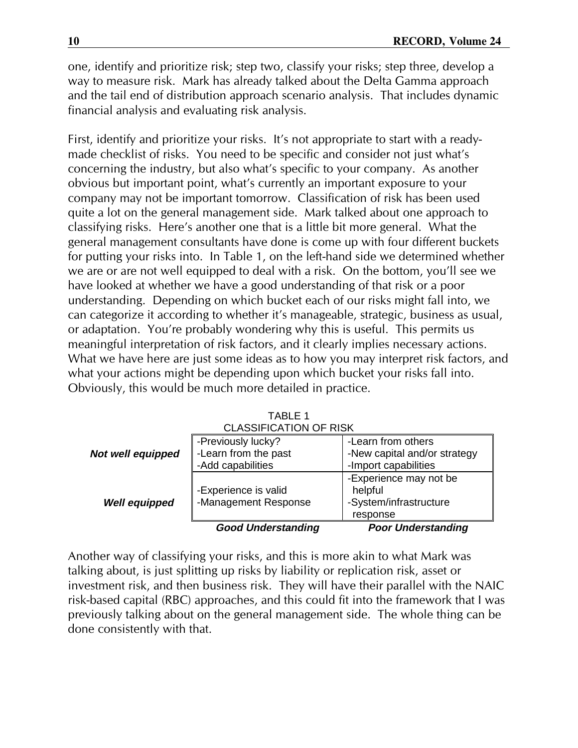one, identify and prioritize risk; step two, classify your risks; step three, develop a way to measure risk. Mark has already talked about the Delta Gamma approach and the tail end of distribution approach scenario analysis. That includes dynamic financial analysis and evaluating risk analysis.

First, identify and prioritize your risks. It's not appropriate to start with a readymade checklist of risks. You need to be specific and consider not just what's concerning the industry, but also what's specific to your company. As another obvious but important point, what's currently an important exposure to your company may not be important tomorrow. Classification of risk has been used quite a lot on the general management side. Mark talked about one approach to classifying risks. Here's another one that is a little bit more general. What the general management consultants have done is come up with four different buckets for putting your risks into. In Table 1, on the left-hand side we determined whether we are or are not well equipped to deal with a risk. On the bottom, you'll see we have looked at whether we have a good understanding of that risk or a poor understanding. Depending on which bucket each of our risks might fall into, we can categorize it according to whether it's manageable, strategic, business as usual, or adaptation. You're probably wondering why this is useful. This permits us meaningful interpretation of risk factors, and it clearly implies necessary actions. What we have here are just some ideas as to how you may interpret risk factors, and what your actions might be depending upon which bucket your risks fall into. Obviously, this would be much more detailed in practice.

|                               | <b>Good Understanding</b> | <b>Poor Understanding</b>    |  |  |  |  |  |
|-------------------------------|---------------------------|------------------------------|--|--|--|--|--|
|                               |                           | response                     |  |  |  |  |  |
| <b>Well equipped</b>          | -Management Response      | -System/infrastructure       |  |  |  |  |  |
|                               | -Experience is valid      | helpful                      |  |  |  |  |  |
|                               |                           | -Experience may not be       |  |  |  |  |  |
|                               | -Add capabilities         | -Import capabilities         |  |  |  |  |  |
| Not well equipped             | -Learn from the past      | -New capital and/or strategy |  |  |  |  |  |
|                               | -Previously lucky?        | -Learn from others           |  |  |  |  |  |
| <b>CLASSIFICATION OF RISK</b> |                           |                              |  |  |  |  |  |

TABLE 1

Another way of classifying your risks, and this is more akin to what Mark was talking about, is just splitting up risks by liability or replication risk, asset or investment risk, and then business risk. They will have their parallel with the NAIC risk-based capital (RBC) approaches, and this could fit into the framework that I was previously talking about on the general management side. The whole thing can be done consistently with that.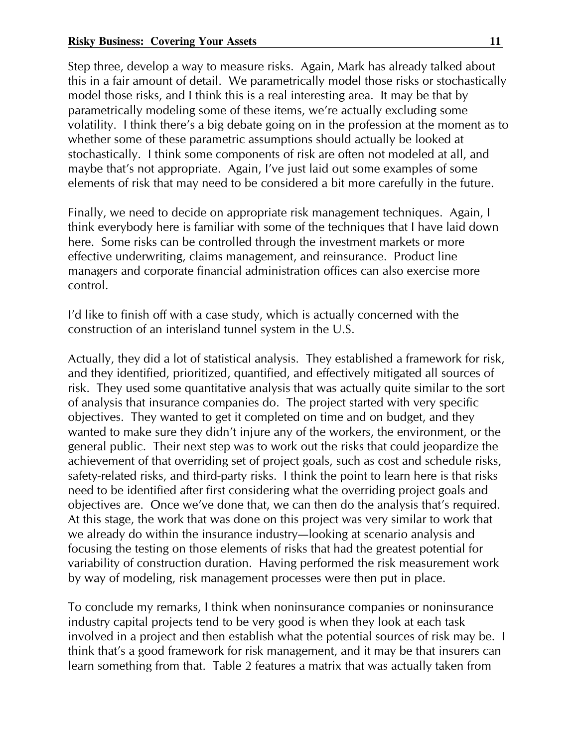5tep three, develop a way to measure risks. Again, Mark has already talked about this in a fair amount of detail. We parametrically model those risks or stochastically model those risks, and I think this is a real interesting area. It may be that by parametrically modeling some of these items, we're actually excluding some volatility. I think there's a big debate going on in the profession at the moment as to whether some of these parametric assumptions should actually be looked at stochastically. I think some components of risk are often not modeled at all, and maybe that's not appropriate. Again, I've just laid out some examples of some elements of risk that may need to be considered a bit more carefully in the future.

Finally, we need to decide on appropriate risk management techniques. Again, I think everybody here is familiar with some of the techniques that I have laid down here. 5ome risks can be controlled through the investment markets or more effective underwriting, claims management, and reinsurance. Product line managers and corporate financial administration offices can also exercise more control.

I'd like to finish off with a case study, which is actually concerned with the construction of an interisland tunnel system in the U.5.

Actually, they did a lot of statistical analysis. They established a framework for risk, and they identified, prioritized, quantified, and effectively mitigated all sources of risk. They used some quantitative analysis that was actually quite similar to the sort of analysis that insurance companies do. The project started with very specific objectives. They wanted to get it completed on time and on budget, and they wanted to make sure they didn't injure any of the workers, the environment, or the general public. Their next step was to work out the risks that could jeopardize the achievement of that overriding set of project goals, such as cost and schedule risks, safety-related risks, and third-party risks. I think the point to learn here is that risks need to be identified after first considering what the overriding project goals and objectives are. Once we've done that, we can then do the analysis that's required. At this stage, the work that was done on this project was very similar to work that we already do within the insurance industry-looking at scenario analysis and focusing the testing on those elements of risks that had the greatest potential for variability of construction duration. Having performed the risk measurement work by way of modeling, risk management processes were then put in place.

To conclude my remarks, I think when noninsurance companies or noninsurance industry capital projects tend to be very good is when they look at each task involved in a project and then establish what the potential sources of risk may be. I think that's a good framework for risk management, and it may be that insurers can learn something from that. Table 2 features a matrix that was actually taken from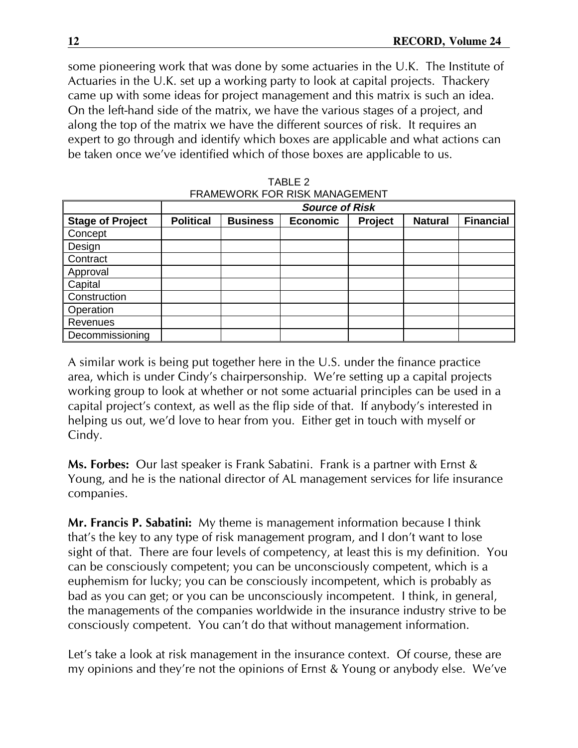some pioneering work that was done by some actuaries in the U.K. The Institute of Actuaries in the U.K. set up a working party to look at capital projects. Thackery came up with some ideas for project management and this matrix is such an idea. On the left-hand side of the matrix, we have the various stages of a project, and along the top of the matrix we have the different sources of risk. It requires an expert to go through and identify which boxes are applicable and what actions can be taken once we've identified which of those boxes are applicable to us.

| I IVAME YYOINN I OIN INOIN MAUAOLIMLIYI |                       |                 |                 |         |                |                  |  |  |  |
|-----------------------------------------|-----------------------|-----------------|-----------------|---------|----------------|------------------|--|--|--|
|                                         | <b>Source of Risk</b> |                 |                 |         |                |                  |  |  |  |
| <b>Stage of Project</b>                 | <b>Political</b>      | <b>Business</b> | <b>Economic</b> | Project | <b>Natural</b> | <b>Financial</b> |  |  |  |
| Concept                                 |                       |                 |                 |         |                |                  |  |  |  |
| Design                                  |                       |                 |                 |         |                |                  |  |  |  |
| Contract                                |                       |                 |                 |         |                |                  |  |  |  |
| Approval                                |                       |                 |                 |         |                |                  |  |  |  |
| Capital                                 |                       |                 |                 |         |                |                  |  |  |  |
| Construction                            |                       |                 |                 |         |                |                  |  |  |  |
| Operation                               |                       |                 |                 |         |                |                  |  |  |  |
| Revenues                                |                       |                 |                 |         |                |                  |  |  |  |
| Decommissioning                         |                       |                 |                 |         |                |                  |  |  |  |

TABLE 2 FRAMEWORK FOR RISK MANAGEMENT

A similar work is being put together here in the U.5. under the finance practice area, which is under Cindy's chairpersonship. We're setting up a capital projects working group to look at whether or not some actuarial principles can be used in a capital project's context, as well as the flip side of that. If anybody's interested in helping us out, we'd love to hear from you. Either get in touch with myself or Cindy.

Ms. Forbes: Our last speaker is Frank 5abatini. Frank is a partner with Ernst & Young, and he is the national director of AL management services for life insurance companies.

Mr. Francis P. Sabatini: My theme is management information because I think that's the key to any type of risk management program, and I don't want to lose sight of that. There are four levels of competency, at least this is my definition. You can be consciously competent; you can be unconsciously competent, which is a euphemism for lucky; you can be consciously incompetent, which is probably as bad as you can get; or you can be unconsciously incompetent. I think, in general, the managements of the companies worldwide in the insurance industry strive to be consciously competent. You can't do that without management information.

Let's take a look at risk management in the insurance context. Of course, these are my opinions and they're not the opinions of Ernst & Young or anybody else. We've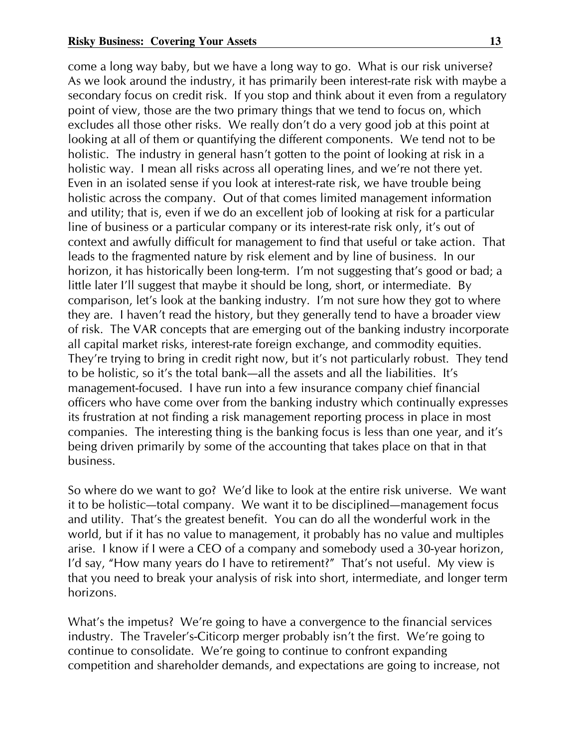come a long way baby, but we have a long way to go. What is our risk universe? As we look around the industry, it has primarily been interest-rate risk with maybe a secondary focus on credit risk. If you stop and think about it even from a regulatory point of view, those are the two primary things that we tend to focus on, which excludes all those other risks. We really don't do a very good job at this point at looking at all of them or quantifying the different components. We tend not to be holistic. The industry in general hasn't gotten to the point of looking at risk in a holistic way. I mean all risks across all operating lines, and we're not there yet. Even in an isolated sense if you look at interest-rate risk, we have trouble being holistic across the company. Out of that comes limited management information and utility; that is, even if we do an excellent job of looking at risk for a particular line of business or a particular company or its interest-rate risk only, it's out of context and awfully difficult for management to find that useful or take action. That leads to the fragmented nature by risk element and by line of business. In our horizon, it has historically been long-term. I'm not suggesting that's good or bad; a little later I'll suggest that maybe it should be long, short, or intermediate. By comparison, let's look at the banking industry. I'm not sure how they got to where they are. I haven't read the history, but they generally tend to have a broader view of risk. The VAR concepts that are emerging out of the banking industry incorporate all capital market risks, interest-rate foreign exchange, and commodity equities. They're trying to bring in credit right now, but it's not particularly robust. They tend to be holistic, so it's the total bank-all the assets and all the liabilities. It's management-focused. I have run into a few insurance company chief financial officers who have come over from the banking industry which continually expresses its frustration at not finding a risk management reporting process in place in most companies. The interesting thing is the banking focus is less than one year, and it's being driven primarily by some of the accounting that takes place on that in that business.

5o where do we want to go? We'd like to look at the entire risk universe. We want it to be holistic-total company. We want it to be disciplined-management focus and utility. That's the greatest benefit. You can do all the wonderful work in the world, but if it has no value to management, it probably has no value and multiples arise. I know if I were a CEO of a company and somebody used a 30-year horizon, I'd say, "How many years do I have to retirement?" That's not useful. My view is that you need to break your analysis of risk into short, intermediate, and longer term horizons.

What's the impetus? We're going to have a convergence to the financial services industry. The Traveler's-Citicorp merger probably isn't the first. We're going to continue to consolidate. We're going to continue to confront expanding competition and shareholder demands, and expectations are going to increase, not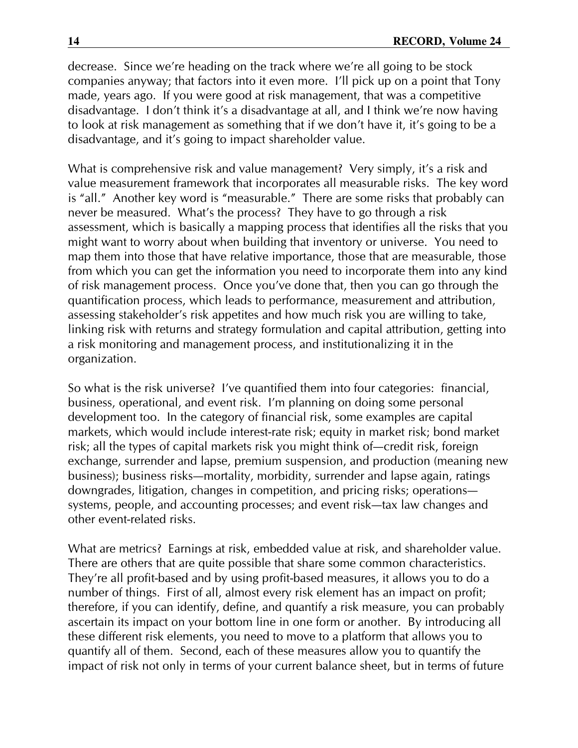decrease. 5ince we're heading on the track where we're all going to be stock companies anyway; that factors into it even more. I'll pick up on a point that Tony made, years ago. If you were good at risk management, that was a competitive disadvantage. I don't think it's a disadvantage at all, and I think we're now having to look at risk management as something that if we don't have it, it's going to be a disadvantage, and it's going to impact shareholder value.

What is comprehensive risk and value management? Very simply, it's a risk and value measurement framework that incorporates all measurable risks. The key word is "all." Another key word is "measurable." There are some risks that probably can never be measured. What's the process? They have to go through a risk assessment, which is basically a mapping process that identifies all the risks that you might want to worry about when building that inventory or universe. You need to map them into those that have relative importance, those that are measurable, those from which you can get the information you need to incorporate them into any kind of risk management process. Once you've done that, then you can go through the quantification process, which leads to performance, measurement and attribution, assessing stakeholder's risk appetites and how much risk you are willing to take, linking risk with returns and strategy formulation and capital attribution, getting into a risk monitoring and management process, and institutionalizing it in the organization.

5o what is the risk universe? I've quantified them into four categories: financial, business, operational, and event risk. I'm planning on doing some personal development too. In the category of financial risk, some examples are capital markets, which would include interest-rate risk; equity in market risk; bond market risk; all the types of capital markets risk you might think of—credit risk, foreign exchange, surrender and lapse, premium suspension, and production (meaning new business); business risks-mortality, morbidity, surrender and lapse again, ratings downgrades, litigation, changes in competition, and pricing risks; operationssystems, people, and accounting processes; and event risk—tax law changes and other event-related risks.

What are metrics? Earnings at risk, embedded value at risk, and shareholder value. There are others that are quite possible that share some common characteristics. They're all profit-based and by using profit-based measures, it allows you to do a number of things. First of all, almost every risk element has an impact on profit; therefore, if you can identify, define, and quantify a risk measure, you can probably ascertain its impact on your bottom line in one form or another. By introducing all these different risk elements, you need to move to a platform that allows you to quantify all of them. 5econd, each of these measures allow you to quantify the impact of risk not only in terms of your current balance sheet, but in terms of future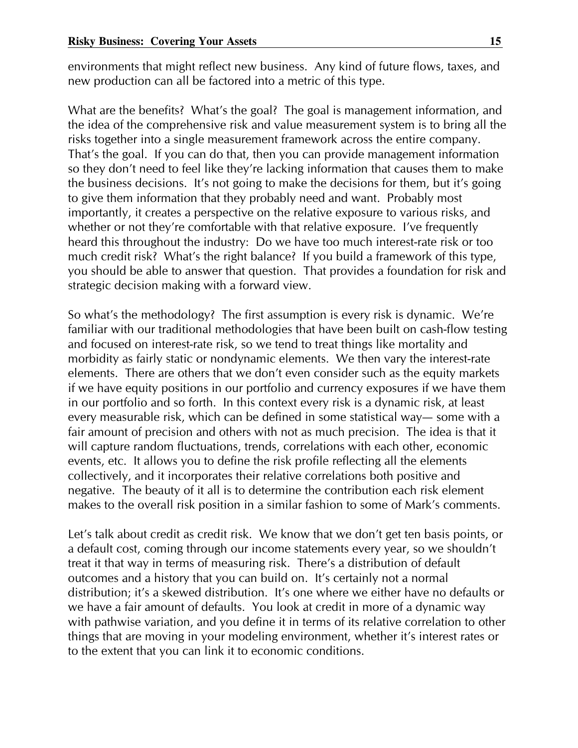environments that might reflect new business. Any kind of future flows, taxes, and new production can all be factored into a metric of this type.

What are the benefits? What's the goal? The goal is management information, and the idea of the comprehensive risk and value measurement system is to bring all the risks together into a single measurement framework across the entire company. That's the goal. If you can do that, then you can provide management information so they don't need to feel like they're lacking information that causes them to make the business decisions. It's not going to make the decisions for them, but it's going to give them information that they probably need and want. Probably most importantly, it creates a perspective on the relative exposure to various risks, and whether or not they're comfortable with that relative exposure. I've frequently heard this throughout the industry: Do we have too much interest-rate risk or too much credit risk? What's the right balance? If you build a framework of this type, you should be able to answer that question. That provides a foundation for risk and strategic decision making with a forward view.

5o what's the methodology? The first assumption is every risk is dynamic. We're familiar with our traditional methodologies that have been built on cash-flow testing and focused on interest-rate risk, so we tend to treat things like mortality and morbidity as fairly static or nondynamic elements. We then vary the interest-rate elements. There are others that we don't even consider such as the equity markets if we have equity positions in our portfolio and currency exposures if we have them in our portfolio and so forth. In this context every risk is a dynamic risk, at least every measurable risk, which can be defined in some statistical way— some with a fair amount of precision and others with not as much precision. The idea is that it will capture random fluctuations, trends, correlations with each other, economic events, etc. It allows you to define the risk profile reflecting all the elements collectively, and it incorporates their relative correlations both positive and negative. The beauty of it all is to determine the contribution each risk element makes to the overall risk position in a similar fashion to some of Mark's comments.

Let's talk about credit as credit risk. We know that we don't get ten basis points, or a default cost, coming through our income statements every year, so we shouldn't treat it that way in terms of measuring risk. There's a distribution of default outcomes and a history that you can build on. It's certainly not a normal distribution; it's a skewed distribution. It's one where we either have no defaults or we have a fair amount of defaults. You look at credit in more of a dynamic way with pathwise variation, and you define it in terms of its relative correlation to other things that are moving in your modeling environment, whether it's interest rates or to the extent that you can link it to economic conditions.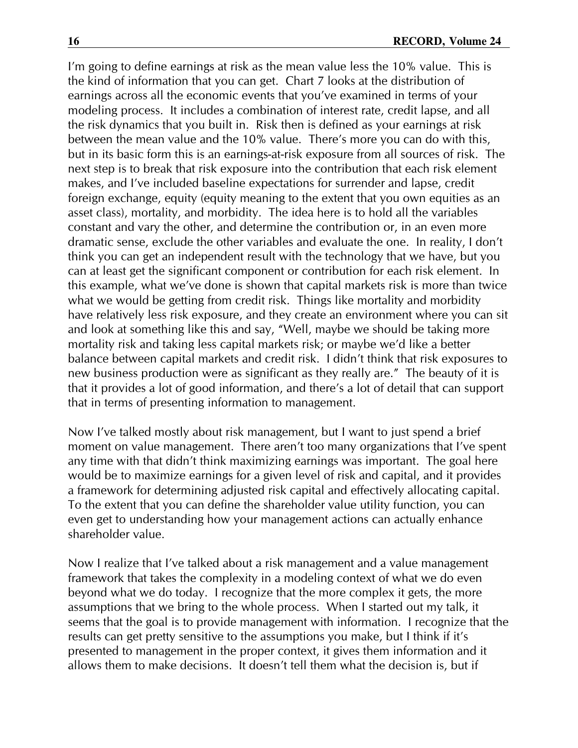I'm going to define earnings at risk as the mean value less the 10% value. This is the kind of information that you can get. Chart 7 looks at the distribution of earnings across all the economic events that you've examined in terms of your modeling process. It includes a combination of interest rate, credit lapse, and all the risk dynamics that you built in. Risk then is defined as your earnings at risk between the mean value and the 10% value. There's more you can do with this, but in its basic form this is an earnings-at-risk exposure from all sources of risk. The next step is to break that risk exposure into the contribution that each risk element makes, and I've included baseline expectations for surrender and lapse, credit foreign exchange, equity (equity meaning to the extent that you own equities as an asset class), mortality, and morbidity. The idea here is to hold all the variables constant and vary the other, and determine the contribution or, in an even more dramatic sense, exclude the other variables and evaluate the one. In reality, I don't think you can get an independent result with the technology that we have, but you can at least get the significant component or contribution for each risk element. In this example, what we've done is shown that capital markets risk is more than twice what we would be getting from credit risk. Things like mortality and morbidity have relatively less risk exposure, and they create an environment where you can sit and look at something like this and say, "Well, maybe we should be taking more mortality risk and taking less capital markets risk; or maybe we'd like a better balance between capital markets and credit risk. I didn't think that risk exposures to new business production were as significant as they really are." The beauty of it is that it provides a lot of good information, and there's a lot of detail that can support that in terms of presenting information to management.

Now I've talked mostly about risk management, but I want to just spend a brief moment on value management. There aren't too many organizations that I've spent any time with that didn't think maximizing earnings was important. The goal here would be to maximize earnings for a given level of risk and capital, and it provides a framework for determining adjusted risk capital and effectively allocating capital. To the extent that you can define the shareholder value utility function, you can even get to understanding how your management actions can actually enhance shareholder value.

Now I realize that I've talked about a risk management and a value management framework that takes the complexity in a modeling context of what we do even beyond what we do today. I recognize that the more complex it gets, the more assumptions that we bring to the whole process. When I started out my talk, it seems that the goal is to provide management with information. I recognize that the results can get pretty sensitive to the assumptions you make, but I think if it's presented to management in the proper context, it gives them information and it allows them to make decisions. It doesn't tell them what the decision is, but if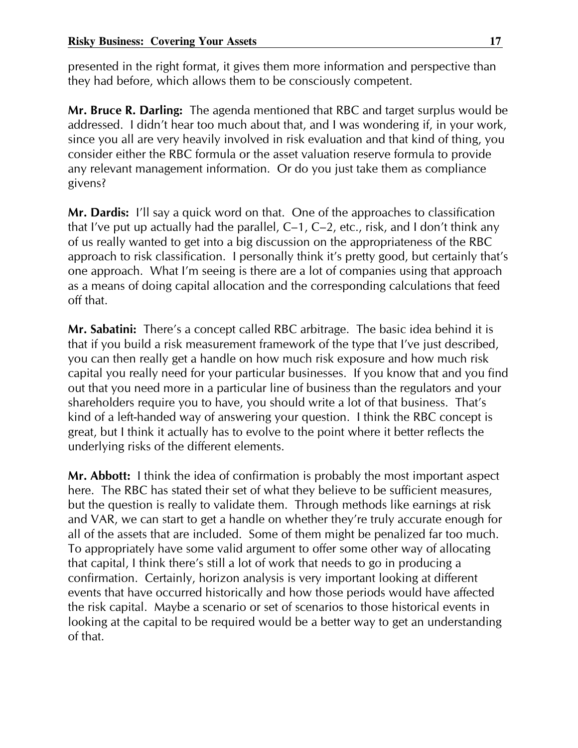presented in the right format, it gives them more information and perspective than they had before, which allows them to be consciously competent.

Mr. Bruce R. Darling: The agenda mentioned that RBC and target surplus would be addressed. I didn't hear too much about that, and I was wondering if, in your work, since you all are very heavily involved in risk evaluation and that kind of thing, you consider either the RBC formula or the asset valuation reserve formula to provide any relevant management information. Or do you just take them as compliance givens?

Mr. Dardis: I'll say a quick word on that. One of the approaches to classification that I've put up actually had the parallel,  $C-1$ ,  $C-2$ , etc., risk, and I don't think any of us really wanted to get into a big discussion on the appropriateness of the RBC approach to risk classification. I personally think it's pretty good, but certainly that's one approach. What I'm seeing is there are a lot of companies using that approach as a means of doing capital allocation and the corresponding calculations that feed off that.

Mr. Sabatini: There's a concept called RBC arbitrage. The basic idea behind it is that if you build a risk measurement framework of the type that I've just described, you can then really get a handle on how much risk exposure and how much risk capital you really need for your particular businesses. If you know that and you find out that you need more in a particular line of business than the regulators and your shareholders require you to have, you should write a lot of that business. That's kind of a left-handed way of answering your question. I think the RBC concept is great, but I think it actually has to evolve to the point where it better reflects the underlying risks of the different elements.

Mr. Abbott: I think the idea of confirmation is probably the most important aspect here. The RBC has stated their set of what they believe to be sufficient measures, but the question is really to validate them. Through methods like earnings at risk and VAR, we can start to get a handle on whether they're truly accurate enough for all of the assets that are included. 5ome of them might be penalized far too much. To appropriately have some valid argument to offer some other way of allocating that capital, I think there's still a lot of work that needs to go in producing a confirmation. Certainly, horizon analysis is very important looking at different events that have occurred historically and how those periods would have affected the risk capital. Maybe a scenario or set of scenarios to those historical events in looking at the capital to be required would be a better way to get an understanding of that.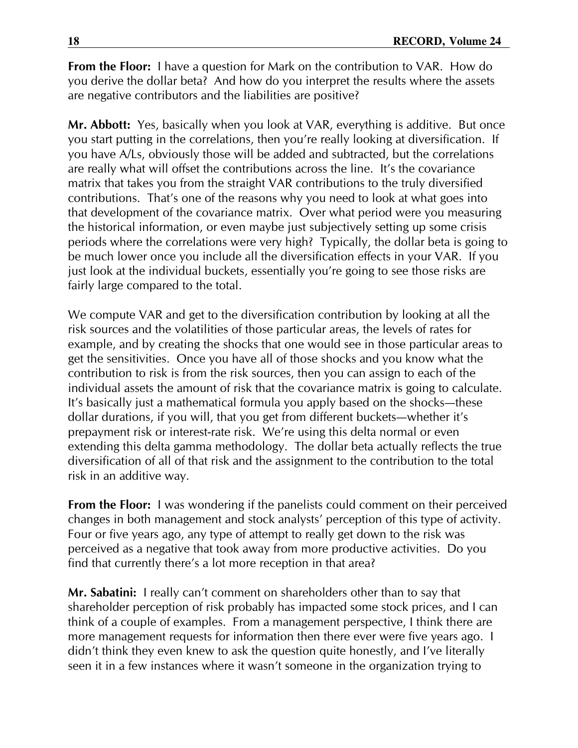**From the Floor:** I have a question for Mark on the contribution to VAR. How do you derive the dollar beta? And how do you interpret the results where the assets are negative contributors and the liabilities are positive?

Mr. Abbott: Yes, basically when you look at VAR, everything is additive. But once you start putting in the correlations, then you're really looking at diversification. If you have A/Ls, obviously those will be added and subtracted, but the correlations are really what will offset the contributions across the line. It's the covariance matrix that takes you from the straight VAR contributions to the truly diversified contributions. That's one of the reasons why you need to look at what goes into that development of the covariance matrix. Over what period were you measuring the historical information, or even maybe just subjectively setting up some crisis periods where the correlations were very high? Typically, the dollar beta is going to be much lower once you include all the diversification effects in your VAR. If you just look at the individual buckets, essentially you're going to see those risks are fairly large compared to the total.

We compute VAR and get to the diversification contribution by looking at all the risk sources and the volatilities of those particular areas, the levels of rates for example, and by creating the shocks that one would see in those particular areas to get the sensitivities. Once you have all of those shocks and you know what the contribution to risk is from the risk sources, then you can assign to each of the individual assets the amount of risk that the covariance matrix is going to calculate. It's basically just a mathematical formula you apply based on the shocks-these dollar durations, if you will, that you get from different buckets-whether it's prepayment risk or interest-rate risk. We're using this delta normal or even extending this delta gamma methodology. The dollar beta actually reflects the true diversification of all of that risk and the assignment to the contribution to the total risk in an additive way.

**From the Floor:** I was wondering if the panelists could comment on their perceived changes in both management and stock analysts' perception of this type of activity. Four or five years ago, any type of attempt to really get down to the risk was perceived as a negative that took away from more productive activities. Do you find that currently there's a lot more reception in that area?

Mr. Sabatini: I really can't comment on shareholders other than to say that shareholder perception of risk probably has impacted some stock prices, and I can think of a couple of examples. From a management perspective, I think there are more management requests for information then there ever were five years ago. I didn't think they even knew to ask the question quite honestly, and I've literally seen it in a few instances where it wasn't someone in the organization trying to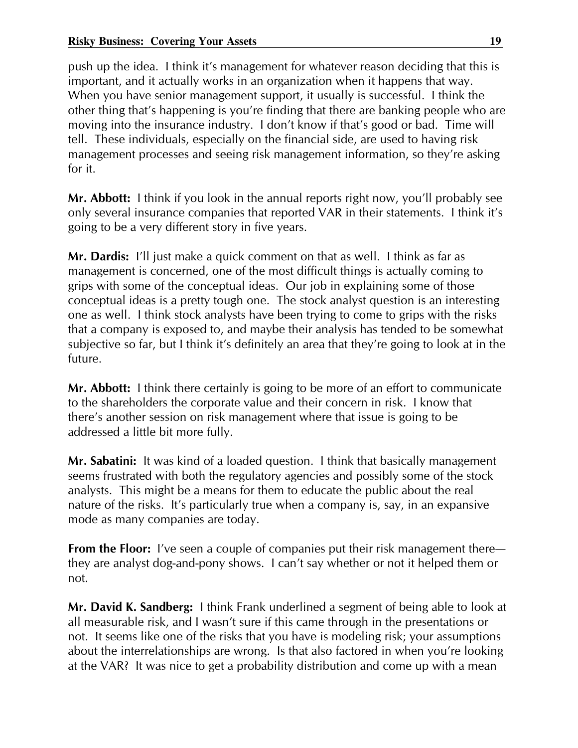push up the idea. I think it's management for whatever reason deciding that this is important, and it actually works in an organization when it happens that way. When you have senior management support, it usually is successful. I think the other thing that's happening is you're finding that there are banking people who are moving into the insurance industry. I don't know if that's good or bad. Time will tell. These individuals, especially on the financial side, are used to having risk management processes and seeing risk management information, so they're asking for it.

Mr. Abbott: I think if you look in the annual reports right now, you'll probably see only several insurance companies that reported VAR in their statements. I think it's going to be a very different story in five years.

Mr. Dardis: I'll just make a quick comment on that as well. I think as far as management is concerned, one of the most difficult things is actually coming to grips with some of the conceptual ideas. Our job in explaining some of those conceptual ideas is a pretty tough one. The stock analyst question is an interesting one as well. I think stock analysts have been trying to come to grips with the risks that a company is exposed to, and maybe their analysis has tended to be somewhat subjective so far, but I think it's definitely an area that they're going to look at in the future.

Mr. Abbott: I think there certainly is going to be more of an effort to communicate to the shareholders the corporate value and their concern in risk. I know that there's another session on risk management where that issue is going to be addressed a little bit more fully.

Mr. Sabatini: It was kind of a loaded question. I think that basically management seems frustrated with both the regulatory agencies and possibly some of the stock analysts. This might be a means for them to educate the public about the real nature of the risks. It's particularly true when a company is, say, in an expansive mode as many companies are today.

**From the Floor:** I've seen a couple of companies put their risk management there they are analyst dog-and-pony shows. I can't say whether or not it helped them or not.

Mr. David K. Sandberg: I think Frank underlined a segment of being able to look at all measurable risk, and I wasn't sure if this came through in the presentations or not. It seems like one of the risks that you have is modeling risk; your assumptions about the interrelationships are wrong. Is that also factored in when you're looking at the VAR? It was nice to get a probability distribution and come up with a mean